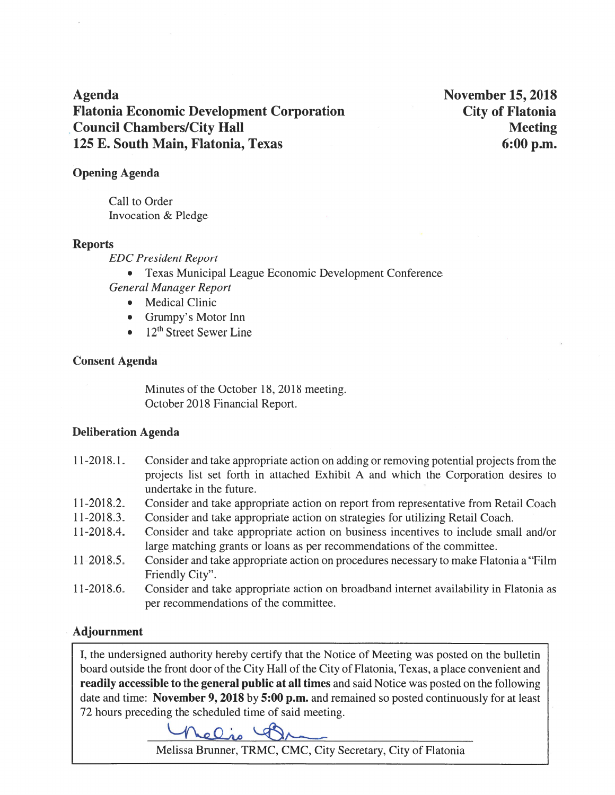**Agenda Flatonia Economic Development Corporation Council Chambers/City Hall** 125 E. South Main, Flatonia, Texas

**November 15, 2018 City of Flatonia Meeting**  $6:00$  p.m.

### **Opening Agenda**

Call to Order Invocation & Pledge

#### **Reports**

**EDC** President Report

- Texas Municipal League Economic Development Conference **General Manager Report** 
	- Medical Clinic
	- Grumpy's Motor Inn
	- $\bullet$  12<sup>th</sup> Street Sewer Line

### **Consent Agenda**

Minutes of the October 18, 2018 meeting. October 2018 Financial Report.

## **Deliberation Agenda**

- $11-2018.1$ . Consider and take appropriate action on adding or removing potential projects from the projects list set forth in attached Exhibit A and which the Corporation desires to undertake in the future.
- Consider and take appropriate action on report from representative from Retail Coach 11-2018.2.
- Consider and take appropriate action on strategies for utilizing Retail Coach.  $11 - 2018.3$ .
- $11-2018.4.$ Consider and take appropriate action on business incentives to include small and/or large matching grants or loans as per recommendations of the committee.
- $11-2018.5$ . Consider and take appropriate action on procedures necessary to make Flatonia a "Film" Friendly City".
- $11-2018.6$ . Consider and take appropriate action on broadband internet availability in Flatonia as per recommendations of the committee.

## **Adjournment**

I, the undersigned authority hereby certify that the Notice of Meeting was posted on the bulletin board outside the front door of the City Hall of the City of Flatonia, Texas, a place convenient and readily accessible to the general public at all times and said Notice was posted on the following date and time: November 9, 2018 by 5:00 p.m. and remained so posted continuously for at least 72 hours preceding the scheduled time of said meeting.



Melissa Brunner, TRMC, CMC, City Secretary, City of Flatonia